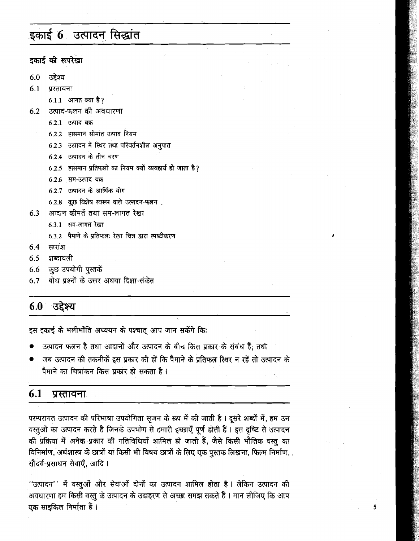# इकाई 6 उत्पादन सिद्धांत

इकाई की रूपरेखा

- उद्देश्य  $6.0$
- $6.1$ प्रस्तावना
	- 6.1.1 आगत क्या है?
- उत्पाद-फलन की अवधारणा 6.2
	- $6.2.1$  उत्पाद वक्र
	- 6.2.2 हासमान सीमांत उत्पाद नियम
	- 6.2.3 उत्पादन में स्थिर तथा परिवर्तनशील अनुपात
	- $6.2.4$  उत्पादन के तीन चरण
	- 6.2.5 हासमान प्रतिफलों का नियम क्यों व्यवहार्य हो जाता है?
	- $6.2.6$  सम-उत्पाद वक्र
	- $6.2.7$  उत्पादन के आर्थिक योग
	- 6.2.8 कृष्ठ विशेष स्वरूप वाले उत्पादन-फलन .
- आदान कीमतें तथा सम-लागत रेखा 6.3
	- 6.3.1 सम-लागत रेखा
	- 6.3.2 पैमाने के प्रतिफलः रेखा चित्र द्वारा स्पष्टीकरण
- सारांश 6.4
- $6.5$ शब्दावली
- 6.6 कुछ उपयोगी पुस्तकें
- बोध प्रश्नों के उत्तर अथवा दिशा-संकेत 6.7

#### उद्देश्य 6.0

इस इकाई के भलीभाँति अध्ययन के पश्चात् आप जान सकेंगे कि:

- उत्पादन फलन है तथा आदानों और उत्पादन के बीच किस प्रकार के संबंध हैं; तथो
- जब उत्पादन की तकनीकें इस प्रकार की हों कि पैमाने के प्रतिफल स्थिर न रहें तो उत्पादन के पैमाने का चित्रांकन किस प्रकार हो सकता है ।

#### $6.1$ प्रस्तावना

परम्परागत उत्पादन की परिभाषा उपयोगिता सृजन के रूप में की जाती है। दूसरे शब्दों में, हम उन वस्तुओं का उत्पादन करते हैं जिनके उपभोग से हमारी इच्छाएँ पूर्ण होती हैं। इस दृष्टि से उत्पादन की प्रक्रिया में अनेक प्रकार की गतिविधियाँ शामिल हो जाती हैं, जैसे किसी भौतिक वस्तु का विनिर्माण, अर्थशास्त्र के छात्रों या किसी भी विषय छात्रों के लिए एक पुस्तक लिखना, फिल्म निर्माण, सौंदर्य-प्रसाधन सेवाएँ, आदि।

"उत्पादन'' में वस्तुओं और सेवाओं दोनों का उत्पादन शामिल होता है। लेकिन उत्पादन की अवधारणा हम किसी वस्तु के उत्पादन के उदाहरण से अच्छा समझ सकते हैं । मान लीजिए कि आप एक साइकिल निर्माता हैं ।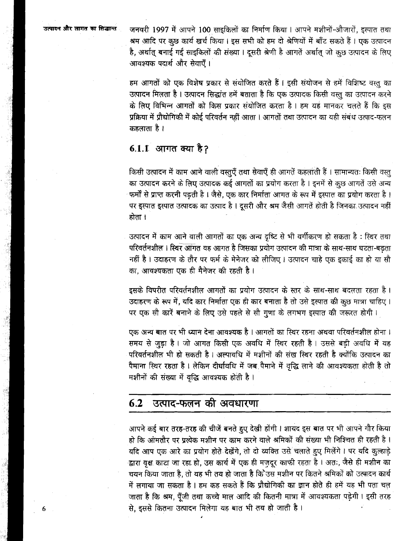जनवरी 1997 में आपने 100 साइकिलों का निर्माण किया । आपने मशीनों-औजारों, इस्पात तथा श्रम आदि पर कुछ कार्य खर्च किया। इस सभी को हम दो श्रेणियों में बाँट सकते हैं। एक उत्पादन है, अर्थात् बनाई गई साइकिलों की संख्या। दूसरी श्रेणी है आगतें अर्थात् जो कुछ उत्पादन के लिए आवश्यक पदार्थ और सेवाएँ ।

हम आगतों को एक विशेष प्रकार से संयोजित करते हैं। इसी संयोजन से हमें विशिष्ट वस्तु का उत्पादन मिलता है। उत्पादन सिद्धांत हमें बताता है कि एक उत्पादक किसी वस्तू का उत्पादन करने के लिए विभिन्न आगतों को किस प्रकार संयोजित करता है। हम यह मानकर चलते हैं कि इस प्रक्रिया में प्रौद्योगिकी में कोई परिवर्तन नहीं आता । आगतों तथा उत्पादन का यही संबंध उत्पाद-फलन कहलाता है ।

## 6.1.1 आगत क्या है?

किसी उत्पादन में काम आने वाली वस्तुएँ तथा सेवाएँ ही आगतें कहलाती हैं । सामान्यतः किसी वस्तु का उत्पादन करने के लिए उत्पादक कई आगतों का प्रयोग करता है। इनमें से कुछ आगतें उसे अन्य फर्मों से प्राप्त करनी पडती है। जैसे, एक कार निर्माता आगत के रूप में इस्पात का प्रयोग करता है। पर इस्पात इस्पात उत्पादक का उत्पाद है। दूसरी और श्रम जैसी आगतें होती है जिनका उत्पादन नहीं होता ।

उत्पादन में काम आने वाली आगतों का एक अन्य दृष्टि से भी वर्गीकरण हो सकता है : स्थिर तथा परिवर्तनशील । स्थिर आगत वह आगत है जिसका प्रयोग उत्पादन की मात्रा के साथ-साथ घटता-बढता नहीं है। उदाहरण के तौर पर फर्म के मेनेजर को लीजिए। उत्पादन चाहे एक इकाई का हो या सौ का. आवश्यकता एक ही मैनेजर की रहती है।

इसके विपरीत परिवर्तनशील आगतों का प्रयोग उत्पादन के स्तर के साथ-साथ बदलता रहता है। उदाहरण के रूप में, यदि कार निर्माता एक ही कार बनाता है तो उसे इस्पात की कुछ मात्रा चाहिए। पर एक सौ कारें बनाने के लिए उसे पहले से सौ गुणा के लगभग इस्पात की जरूरत होगी।

एक अन्य बात पर भी ध्यान देना आवश्यक है । आगतों का स्थिर रहना अथवा परिवर्तनशील होना । समय से जुड़ा है। जो आगत किसी एक अवधि में स्थिर रहती है। उससे बड़ी अवधि में यह परिवर्तनशील भी हो सकती है। अल्पावधि में मशीनों की संख स्थिर रहती है क्योंकि उत्पादन का पैमाना स्थिर रहता है। लेकिन दीर्घावधि में जब पैमाने में वृद्धि लाने की आवश्यकता होती है तो मशीनों की संख्या में वृद्धि आवश्यक होती है।

#### $6.2$ उत्पाद-फलन की अवधारणा

आपने कई बार तरह-तरह की चीजें बनते हुए देखी होंगी। शायद इस बात पर भी आपने गौर किया हो कि आमतौर पर प्रत्येक मशीन पर काम करने वाले श्रमिकों की संख्या भी निश्चित ही रहती है। यदि आप एक आरे का प्रयोग होते देखेंगे, तो दो व्यक्ति उसे चलाते हुए मिलेंगे। पर यदि कुल्हाड़े द्वारा वृक्ष काटा जा रहा हो, उस कार्य में एक ही मज़दूर काफी रहता है। अतः, जैसे ही मशीन का चयन किया जाता है, तो यह भी तय हो जाता है कि उस मशीन पर कितने श्रमिकों को उत्पादन कार्य में लगाया जा सकता है। हम कह सकते हैं कि प्रौद्योगिकी का ज्ञान होते ही हमें यह भी पता चल जाता है कि श्रम, पूँजी तथा कच्चे माल आदि की कितनी मात्रा में आवश्यकता पड़ेगी। इसी तरह से, इससे कितना उत्पादन मिलेगा यह बात भी तय हो जाती है।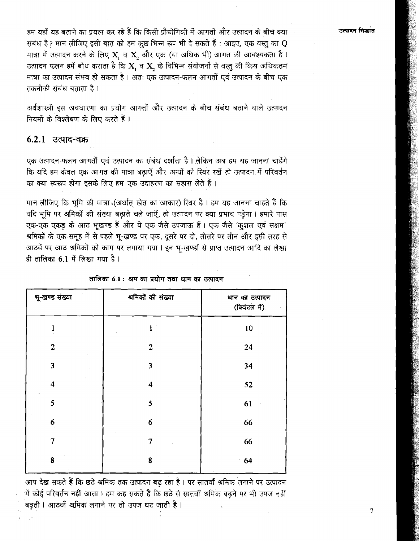उत्पादन सिद्धांत

हम यहाँ यह बताने का प्रयत्न कर रहे हैं कि किसी प्रौद्योगिकी में आगतों और उत्पादन के बीच क्या संबंध है? मान लीजिए इसी बात को हम कछ भिन्न रूप भी दे सकते हैं : आइए, एक वस्तु का  ${\bf O}$ मात्रा में उत्पादन करने के लिए  $\mathbf{X}$ , व  $\mathbf{X}$ , और एक (या अधिक भी) आगत की आवश्यकता है। उत्पादन फलन हमें बोध कराता है कि X, व X, के विभिन्न संयोजनों से वस्तु की किस अधिकतम मात्रा का उत्पादन संभव हो सकता है । अतः एक उत्पादन-फलन आगतों एवं उत्पादन के बीच एक तकनीकी संबंध बताता है ।

अर्थशास्त्री इस अवधारणा का प्रयोग आगतों और उत्पादन के बीच संबंध बताने वाले उत्पादन नियमों के विश्लेषण के लिए करते हैं ।

### $6.2.1$  उत्पाद-वक्र

एक उत्पादन-फलन आगतों एवं उत्पादन का संबंध दर्शाता है। लेकिन अब हम यह जानना चाहेंगे कि यदि हम केवल एक आगत की मात्रा बढाएँ और अन्यों को स्थिर रखें तो उत्पादन में परिवर्तन का क्या स्वरूप होगा इसके लिए हम एक उदाहरण का सहारा लेते हैं।

मान लीजिए कि भूमि की मात्रा (अर्थात् खेत का आकार) स्थिर है। हम यह जानना चाहते हैं कि यदि भूमि पर श्रमिकों की संख्या बढ़ाते चले जाएँ, तो उत्पादन पर क्या प्रभाव पड़ेगा। हमारे पास एक-एक एकड के आठ भुखण्ड हैं और ये एक जैसे उपजाऊ हैं। एक जैसे 'कुशल एवं सक्षम' श्रमिकों के एक समुह में से पहले भु-खण्ड पर एक, दुसरे पर दो, तीसरे पर तीन और इसी तरह से आठवें पर आठ श्रमिकों को काम पर लगाया गया। इन भू-खण्डों से प्राप्त उत्पादन आदि का लेखा ही तालिका 6.1 में लिखा गया है।

| भू-खण्ड संख्या          | श्रमिकों की संख्या | धान का उत्पादन<br>(क्विंटल में) |
|-------------------------|--------------------|---------------------------------|
|                         |                    | 10                              |
| $\overline{2}$          | $\overline{2}$     | 24                              |
| 3                       | 3                  | 34                              |
| $\overline{\mathbf{4}}$ | 4                  | 52                              |
| 5                       | 5                  | 61                              |
| 6                       | 6 <sup>1</sup>     | 66                              |
| $\overline{7}$          | 7                  | 66                              |
| 8                       | 8                  | 64                              |

तालिका 6.1 : श्रम का प्रयोग तथा धान का उत्पादन

आप देख सकते हैं कि छठे श्रमिक तक उत्पादन बढ़ रहा है। पर सातवाँ श्रमिक लगाने पर उत्पादन में कोई परिवर्तन नहीं आता। हम कह सकते हैं कि छठे से सातवाँ श्रमिक बढ़ने पर भी उपज नहीं बढ़ती। आठवाँ श्रमिक लगाने पर तो उपज घट जाती है।

 $\overline{7}$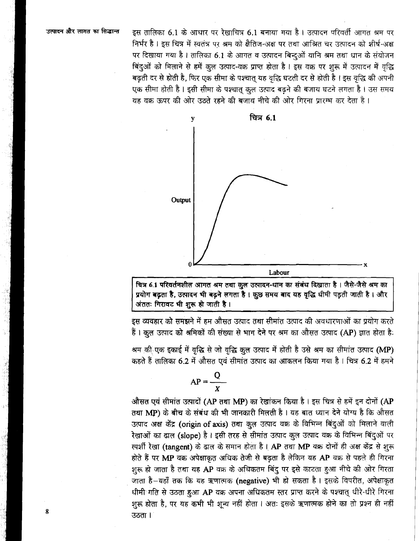इस तालिका 6.1 के आधार पर रेखाचित्र 6.1 बनाया गया है। उत्पादन परिवर्ती आगत श्रम पर निर्भर है। इस चित्र में स्वतंत्र पर श्रम को क्षैतिज-अक्ष पर तथा आश्रित चर उत्पादन को शीर्ष-अक्ष पर दिखाया गया है। तालिका 6.1 के आगत व उत्पादन बिन्दुओं यानि श्रम तथा धान के संयोजन बिंदुओं को मिलाने से हमें कुल उत्पाद-वक्र प्राप्त होता है। इस वक्र पर शुरू में उत्पादन में वृद्धि बढती दर से होती है, फिर एक सीमा के पश्चात यह वृद्धि घटती दर से होती है। इस वृद्धि की अपनी एक सीमा होती है । इसी सीमा के पश्चात कुल उत्पाद बढने की बजाय घटने लगता है । उस समय यह वक्र ऊपर की ओर उठते रहने की बजाय नीचे की ओर गिरना प्रारम्भ कर देता है।



चित्र 6.1 परिवर्तनशील आगत श्रम तथा कुल उत्पादन-धान का संबंध दिखाता है। जैसे-जैसे श्रम का प्रयोग बढ़ता है, उत्पादन भी बढ़ने लगता है। क्रुछ समय बाद यह वृद्धि धीमी पड़ती जाती है। और अंततः गिरावट भी शुरू हो जाती है।

इस व्यवहार को समझने में हम औसत उत्पाद तथा सीमांत उत्पाद की अवधारणाओं का प्रयोग करते हैं। कुल उत्पाद को श्रमिकों की संख्या से भाग देने पर श्रम का औसत उत्पाद (AP) ज्ञात होता है:

श्रम की एक इकाई में वृद्धि से जो वृद्धि कुल उत्पाद में होती है उसे श्रम का सीमांत उत्पाद (MP) कहते हैं तालिका 6.2 में औसत एवं सीमांत उत्पाद का आकलन किया गया है। चित्र 6.2 में हमने

$$
AP = \frac{Q}{X}
$$

औसत एवं सीमांत उत्पादों (AP तथा MP) का रेखांकन किया है। इस चित्र से हमें इन दोनों (AP तथा MP) के बीच के संबंध की भी जानकारी मिलती है। यह बात ध्यान देने योग्य है कि औसत उत्पाद अक्ष केंद्र (origin of axis) तथा कुल उत्पाद वक्र के विभिन्न बिंदुओं को मिलाने वाली रेखाओं का ढाल (slope) है। इसी तरह से सीमांत उत्पाद कुल उत्पाद वक्र के विभिन्न बिंदुओं पर स्पर्शी रेखा (tangent) के ढाल के समान होता है। AP तथा MP वक्र दोनों ही अक्ष केंद्र से शुरू होते हैं पर MP वक्र अपेक्षाकृत अधिक तेजी से बढ़ता है लेकिन यह AP वक्र से पहले ही गिरना शुरू हो जाता है तथा यह AP वक्र के अधिकतम बिंदु पर इसे काटता हुआ नीचे की ओर गिरता जाता है-यहाँ तक कि यह ऋणात्मक (negative) भी हो सकता है। इसके विपरीत, अपेक्षाकृत धीमी गति से उठता हुआ AP वक्र अपना अधिकतम स्तर प्राप्त करने के पश्चात् धीरे-धीरे गिरना शुरू होता है, पर यह कभी भी शुन्य नहीं होता। अतः इसके ऋणात्मक होने का तो प्रश्न ही नहीं उठता ।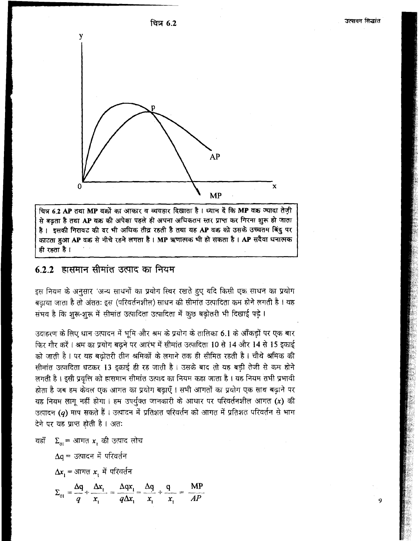ਰਿਕ 6.2



चित्र 6.2 AP तथा MP वक्रों का आकार व व्यवहार दिखाता है। ध्यान दें कि MP वक्र ज्यादा तेज़ी से बढ़ता है तथा AP वक्र की अपेक्षा पहले ही अपना अधिकतम स्तर प्राप्त कर गिरना शुरू हो जाता है। इसकी गिरावट की दर भी अधिक तीव्र रहती है तथा यह AP वक्र को उसके उच्चतम बिंदु पर काटता हुआ AP वक्र से नीचे रहने लगता है। MP ऋणात्मक भी हो सकता है। AP सदैवा धनात्मक ही रहता है ।

# $6.2.2$  हासमान सीमांत उत्पाद का नियम

इस नियम के अनुसार 'अन्य साधनों का प्रयोग स्थिर रखते हुए यदि किसी एक साधन का प्रयोग बढाया जाता है तो अंततः इस (परिवर्तनशील) साधन की सीमांत उत्पादिता कम होने लगती है । यह संभव है कि शुरू-शुरू में सीमांत उत्पादिता उत्पादिता में कुछ बढ़ोतरी भी दिखाई पड़े।

उदाहरण के लिए धान उत्पादन में भूमि और श्रम के प्रयोग के तालिका 6.1 के आँकड़ों पर एक बार फिर गौर करें। श्रम का प्रयोग बढने पर आरंभ में सीमांत उत्पादिता 10 से 14 और 14 से 15 इकाई को जाती है। पर यह बढोतरी तीन श्रमिकों के लगाने तक ही सीमित रहती है। चौथे श्रमिक की सीमांत उत्पादिता घटकर 13 इकाई ही रह जाती है। उसके बाद तो यह बड़ी तेजी से कम होने लगती है। इसी प्रवृत्ति को हासमान सीमांत उत्पाद का नियम कहा जाता है। यह नियम तभी प्रभावी होता है जब हम केवल एक आगत का प्रयोग बढ़ाएँ। सभी आगतों का प्रयोग एक साथ बढ़ाने पर यह नियम लागू नहीं होगा। हम उपर्युक्त जानकारी के आधार पर परिवर्तनशील आगत (x) की उत्पादन (q) माप सकते हैं। उत्पादन में प्रतिशत परिवर्तन को आगत में प्रतिशत परिवर्तन से भाग देने पर यह प्राप्त होती है। अतः

यहाँ  $\Sigma_{\alpha i}$ = आगत x, की उत्पाद लोच

$$
\Delta q = \text{arg}\, \vec{r} \text{ and } \Delta x_1 = \text{arg}\, \vec{r} \text{ and } \Delta x_1 = \text{arg}\, \vec{r} \text{ and } \Delta x_1 = \text{arg}\, \vec{r} \text{ and } \Delta x_1 = \text{arg}\, \vec{r} \text{ and } \Delta x_1 = \text{arg}\, \vec{r} \text{ and } \Delta x_1 = \text{arg}\, \vec{r} \text{ and } \Delta x_1 = \text{arg}\, \vec{r} \text{ and } \Delta x_1 = \text{arg}\, \vec{r} \text{ and } \Delta x_1 = \text{arg}\, \vec{r} \text{ and } \Delta x_1 = \text{arg}\, \vec{r} \text{ and } \Delta x_1 = \text{arg}\, \vec{r} \text{ and } \Delta x_1 = \text{arg}\, \vec{r} \text{ and } \Delta x_1 = \text{arg}\, \vec{r} \text{ and } \Delta x_1 = \text{arg}\, \vec{r} \text{ and } \Delta x_1 = \text{arg}\, \vec{r} \text{ and } \Delta x_1 = \text{arg}\, \vec{r} \text{ and } \Delta x_1 = \text{arg}\, \vec{r} \text{ and } \Delta x_1 = \text{arg}\, \vec{r} \text{ and } \Delta x_1 = \text{arg}\, \vec{r} \text{ and } \Delta x_1 = \text{arg}\, \vec{r} \text{ and } \Delta x_1 = \text{arg}\, \vec{r} \text{ and } \Delta x_1 = \text{arg}\, \vec{r} \text{ and } \Delta x_1 = \text{arg}\, \vec{r} \text{ and } \Delta x_1 = \text{arg}\, \vec{r} \text{ and } \Delta x_1 = \text{arg}\, \vec{r} \text{ and } \Delta x_1 = \text{arg}\, \vec{r} \text{ and } \Delta x_1 = \text{arg}\, \vec{r} \text{ and } \Delta x_1 = \text{arg}\, \vec{r} \text{ and } \Delta x_1 = \text{arg}\, \vec{r} \text{ and } \Delta x_1 = \text{arg}\, \vec{r} \text{ and } \Delta x_1 = \text{arg}\, \vec{r} \text{ and } \Delta x_1 = \text{arg}\, \vec{r} \text{ and } \Delta x_1 = \text{arg}\, \vec{r} \text{ and } \Delta x_1 = \text{arg}\, \vec
$$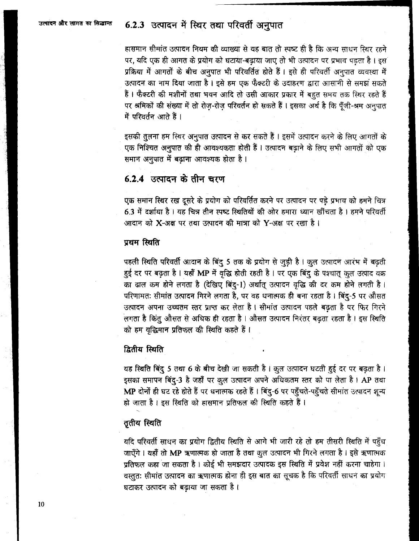# 6.2.3 उत्पादन में स्थिर तथा परिवर्ती अनुपात

हासमान सीमांत उत्पादन नियम की व्याख्या से यह बात तो स्पष्ट ही है कि अन्य साधन स्थिर रहने पर, यदि एक ही आगत के प्रयोग को घटाया-बढ़ाया जाए तो भी उत्पादन पर प्रभाव पड़ता है। इस प्रक्रिया में आगतों के बीच अनुपात भी परिवर्तित होते हैं। इसे ही परिवर्ती अनुपात व्यवस्था में उत्पादन का नाम दिया जाता है। इसे हम एक फैक्टरी के उदाहरण द्वारा आसानी से समझ सकते हैं। फैक्टरी की मशीनों तथा भवन आदि तो उसी आकार प्रकार में बहुत समय तक स्थिर रहते हैं पर श्रमिकों की संख्या में तो रोज़-रोज़ परिवर्तन हो सकते हैं। इसका अर्थ है कि पूँजी-श्रम अनुपात में परिवर्तन आते हैं।

इसकी तुलना हम स्थिर अनुपात उत्पादन से कर सकते हैं । इसमें उत्पादन करने के लिए आगतों के एक निश्चित अनुपात की ही आवश्यकता होती हैं। उत्पादन बढ़ाने के लिए सभी आगतों को एक समान अनुपात में बढ़ाना आवश्यक होता है।

## $6.2.4$  उत्पादन के तीन चरण

एक समान स्थिर रख दूसरे के प्रयोग को परिवर्तित करने पर उत्पादन पर पड़े प्रभाव को हमने चित्र 6.3 में दर्शाया है। यह चित्र तीन स्पष्ट स्थितियों की ओर हमारा ध्यान खींचता है। हमने परिवर्ती आदान को  ${\bf X}$ -अक्ष पर तथा उत्पादन की मात्रा को  ${\bf Y}$ -अक्ष पर रखा है।

### प्रथम स्थिति

पहली स्थिति परिवर्ती आदान के बिंदु 5 तक के प्रयोग से जुड़ी है। कुल उत्पादन आरंभ में बढ़ती हुई दर पर बढ़ता है। यहाँ MP में वृद्धि होती रहती है। पर एक बिंदु के पश्चात् कुल उत्पाद वक्र का ढाल कम होने लगता है (देखिए बिंदु-1) अर्थात् उत्पादन वृद्धि की दर कम होने लगती है। परिणामतः सीमांत उत्पादन गिरने लगता है, पर वह धनात्मक ही बना रहता है। बिंदु-5 पर औसत उत्पादन अपना उच्चतम स्तर प्राप्त कर लेता है। सीमांत उत्पादन पहले बढ़ता है पर फिर गिरने लगता है किंतु औसत से अधिक ही रहता है । औसत उत्पादन निरंतर बढ़ता रहता है । इस स्थिति को हम वृद्धिमान प्रतिफल की स्थिति कहते हैं।

### द्वितीय स्थिति

यह स्थिति बिंदु 5 तथा 6 के बीच देखी जा सकती है। कुल उत्पादन घटती हुई दर पर बढ़ता है। इसका समापन बिंदु-3 है जहाँ पर क़ुल उत्पादन अपने अधिकतम स्तर को पा लेता है। AP तथा MP दोनों ही घट रहे होते हैं पर धनात्मक रहते हैं । बिंदु-6 पर पहुँचते-पहुँचते सीमांत उत्पादन शून्य हो जाता है। इस स्थिति को हासमान प्रतिफल की स्थिति कहते हैं।

### तृतीय स्थिति

यदि परिवर्ती साधन का प्रयोग द्वितीय स्थिति से आगे भी जारी रहे तो हम तीसरी स्थिति में पहुँच जाएँगे। यहाँ तो MP ऋणात्मक हो जाता है तथा कुल उत्पादन भी गिरने लगता है। इसे ऋणात्मक प्रतिफल कहा जा सकता है। कोई भी समझदार उत्पादक इस स्थिति में प्रवेश नहीं करना चाहेगा। वस्तुतः सीमांत उत्पादन का ऋणात्मक होना ही इस बात का सूचक है कि परिवर्ती साधन का प्रयोग घटाकर उत्पादन को बढ़ाया जा सकता है।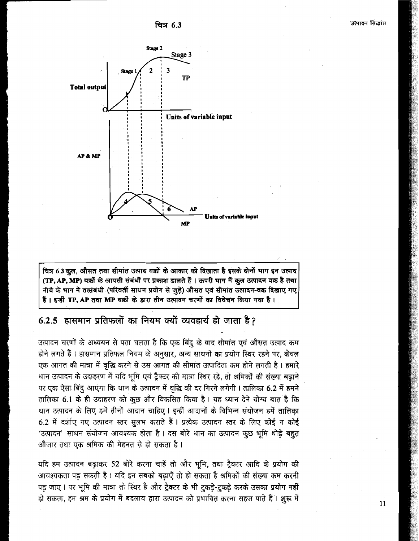ਰਿਕ 6.3



चित्र 6.3 कुल, औसत तथा सीमांत उत्पाद वक्रों के आकार को दिखाता है इसके दोनों भाग इन उत्पाद (TP, AP, MP) वक्रों के आपसी संबंधों पर प्रकाश डालते हैं। ऊपरी भाग में कुल उत्पादन वक्र है तथा नीचे के भाग में तत्संबंधी (परिवर्ती साधन प्रयोग से जुड़े) औसत एवं सीमांत उत्पादन-वक्र दिखाए गए हैं। इन्हीं TP. AP तथा MP वक्रों के द्वारा तीन उत्पादन चरणों का विवेचन किया गया है।

# 6.2.5 हासमान प्रतिफलों का नियम क्यों व्यवहार्य हो जाता है?

उत्पादन चरणों के अध्ययन से पता चलता है कि एक बिंदु के बाद सीमांत एवं औसत उत्पाद कम होने लगते हैं। हासमान प्रतिफल नियम के अनुसार, अन्य साधनों का प्रयोग स्थिर रहने पर, केवल एक आगत की मात्रा में वृद्धि करने से उस आगत की सीमांत उत्पादिता कम होने लगती है। हमारे धान उत्पादन के उदाहरण में यदि भूमि एवं ट्रैक्टर की मात्रा स्थिर रहे, तो श्रमिकों की संख्या बढ़ाने पर एक ऐसा बिंदु आएगा कि धान के उत्पादन में वृद्धि की दर गिरने लगेगी। तालिका 6.2 में हमने तालिका 6.1 के ही उदाहरण को कुछ और विकसित किया है। यह ध्यान देने योग्य बात है कि धान उत्पादन के लिए हमें तीनों आदान चाहिए। इन्हीं आदानों के विभिन्न संयोजन हमें तालिका 6.2 में दर्शाए गए उत्पादन स्तर सुलभ कराते हैं। प्रत्येक उत्पादन स्तर के लिए कोई न कोई 'उत्पादन' साधन संयोजन आवश्यक होता है। दस बोरे धान का उत्पादन कुछ भूमि थोड़े बहुत औजार तथा एक श्रमिक की मेहनत से हो सकता है।

यदि हम उत्पादन बढ़ाकर 52 बोरे करना चाहें तो और भूमि, तथा ट्रैक्टर आदि के प्रयोग की आवश्यकता पड़ सकती है। यदि इन सबको बढ़ाएँ तो हो सकता है श्रमिकों की संख्या कम करनी पड़ जाए। पर भूमि की मात्रा तो स्थिर है और ट्रैक्टर के भी टुकड़े-टुकड़े करके उसका प्रयोग नहीं हो सकता, हम श्रम के प्रयोग में बदलाव द्वारा उत्पादन को प्रभावित करना सहज पाते हैं। शुरू में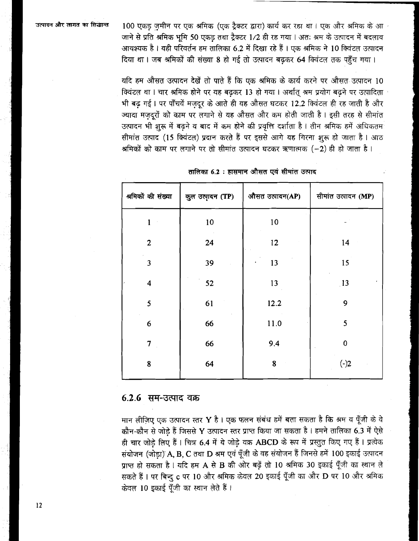100 एकड जमीन पर एक श्रमिक (एक ट्रैक्टर द्वारा) कार्य कर रहा था। एक और श्रमिक के आ जाने से प्रति श्रमिक भूमि 50 एकड़ तथा ट्रैक्टर 1/2 ही रह गया। अतः श्रम के उत्पादन में बदलाव आवश्यक है। यही परिवर्तन हम तालिका 6.2 में दिखा रहे हैं। एक श्रमिक ने 10 क्विंटल उत्पादन दिया था। जब श्रमिकों की संख्या 8 हो गई तो उत्पादन बढ़कर 64 क्विंटल तक पहुँच गया।

यदि हम औसत उत्पादन देखें तो पाते हैं कि एक श्रमिक के कार्य करने पर औसत उत्पादन 10 क्विंटल था। चार श्रमिक होने पर यह बढकर 13 हो गया। अर्थात श्रम प्रयोग बढने पर उत्पादिता भी बढ गई। पर पाँचवें मजदूर के आते ही यह औसत घटकर 12.2 क्विंटल ही रह जाती है और ज्यादा मज़दूरों को काम पर लगाने से यह औसत और कम होती जाती है। इसी तरह से सीमांत उत्पादन भी शुरू में बढने व बाद में कम होने की प्रवृत्ति दर्शाता है। तीन श्रमिक हमें अधिकतम सीमांत उत्पाद (15 क्विंटल) प्रदान करते हैं पर इससे आगे यह गिरना शुरू हो जाता है। आठ श्रमिकों को काम पर लगाने पर तो सीमांत उत्पादन घटकर ऋणात्मक (-2) ही हो जाता है।

| कुल उत्पादन (TP) | औसत उत्पादन(AP) | सीमांत उत्पादन (MP) |
|------------------|-----------------|---------------------|
| 10               | $10\,$          |                     |
| 24               | 12              | 14                  |
| 39               | 13              | 15                  |
| 52               | 13              | 13                  |
| 61               | 12.2            | 9                   |
| 66               | 11.0            | 5                   |
| 66               | 9.4             | $\bf 0$             |
| 64               | 8               | $(-)2$              |
|                  |                 |                     |

तालिका 6.2 : हासमान औसत एवं सीमांत उत्पाद

#### $6.2.6$  सम-उत्पाद वक्र

मान लीज़िए एक उत्पादन स्तर Y है। एक फलन संबंध हमें बता सकता है कि श्रम व पूँजी के वे कौन-कौन से जोड़े हैं जिससे Y उत्पादन स्तर प्राप्त किया जा सकता है। हमने तालिका 6.3 में ऐसे ही चार जोडे लिए हैं। चित्र 6.4 में ये जोड़े वक्र ABCD के रूप में प्रस्तुत किए गए हैं। प्रत्येक संयोजन (जोड़ा) A, B, C तथा D श्रम एवं पूँजी के वह संयोजन हैं जिनसे हमें 100 इकाई उत्पादन प्राप्त हो सकता है। यदि हम A से B की ओर बढ़ें तो 10 श्रमिक 30 इकाई पूँजी का स्थान ले सकते हैं। पर बिन्दु c पर 10 और श्रमिक केवल 20 इकाई पूँजी का और D पर 10 और श्रमिक केवल 10 इकाई पूँजी का स्थान लेते हैं।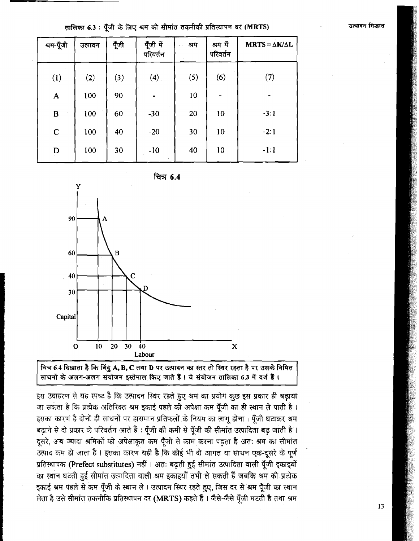| श्रम-पूँजी   | उत्पादन | पूँजी | पूँजी में<br>परिवर्तन | श्रम<br>$\mathbf{1}$ , $\mathbf{1}$ | श्रम में<br>परिवर्तन | $MRTS = \Delta K/\Delta L$ |
|--------------|---------|-------|-----------------------|-------------------------------------|----------------------|----------------------------|
| (1)          | (2)     | (3)   | (4)                   | (5)                                 | (6)                  | (7)                        |
| $\mathbf{A}$ | 100     | 90    |                       | 10                                  |                      |                            |
| $\bf{B}$     | 100     | 60    | $-30$                 | 20                                  | 10                   | $-3:1$                     |
| $\mathbf C$  | 100     | 40    | $-20$                 | 30                                  | 10                   | $-2:1$                     |
| D            | 100     | 30    | $-10$                 | 40                                  | 10                   | $-1:1$                     |

तालिका 6.3 : पैंजी के लिए श्रम की सीमांत तकनीकी प्रतिस्थापन दर (MRTS)

<u>ਚਿ</u>ਤ 6.4



चित्र 6.4 दिखाता है कि बिंदु A, B, C तथा D पर उत्पादन का स्तर तो स्थिर रहता है पर उसके निमित साधनों के अलग-अलग संयोजन इस्तेमाल किए जाते हैं। ये संयोजन तालिका 6.3 में दर्ज हैं।

इस उदाहरण से यह स्पष्ट है कि उत्पादन स्थिर रहते हुए श्रम का प्रयोग कुछ इस प्रकार ही बढ़ाया जा सकता है कि प्रत्येक अतिरिक्त श्रम इकाई पहले की अपेक्षा कम पूँजी का ही स्थान ले पाती है। इसका कारण है दोनों ही साधनों पर हासमान प्रतिफलों के नियम का लागू होना। पुँजी घटाकर श्रम बढ़ाने से दो प्रकार के परिवर्तन आते हैं : पूँजी की कमी से पूँजी की सीमांत उत्पादिता बढ़ जाती है । दूसरे, अब ज्यादा श्रमिकों को अपेक्षाकृत कम पूँजी से काम करना पड़ता है अतः श्रम का सीमांत उत्पाद कम हो जाता है। इसका कारण यही है कि कोई भी दो आगत या साधन एक-दूसरे के पूर्ण प्रतिस्थापक (Prefect substitutes) नहीं । अतः बढ़ती हुई सीमांत उत्पादिता वाली पूँजी इकाइयों का स्थान घटती हुई सीमांत उत्पादिता वाली श्रम इकाइयाँ तभी ले सकती हैं जबकि श्रम की प्रत्येक इकाई श्रम पहले से कम पूँजी के स्थान ले। उत्पादन स्थिर रहते हुए, जिस दर से श्रम पूँजी का स्थान लेता है उसे सीमांत तकनीकि प्रतिस्थापन दर (MRTS) कहते हैं। जैसे-जैसे पूँजी घटती है तथा श्रम उत्पादन सिद्धांत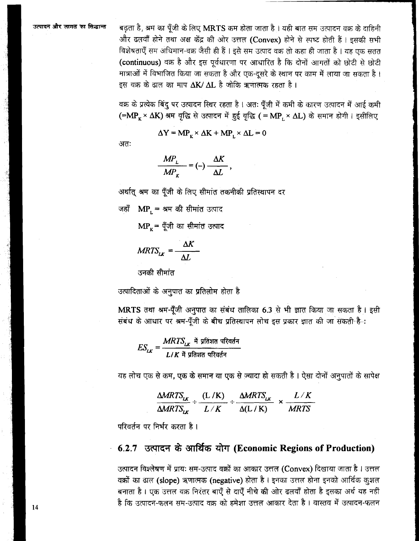बढ़ता है, श्रम का पूँजी के लिए MRTS कम होता जाता है। यही बात सम उत्पादन वक्र के दाहिनी और ढलवाँ होने तथा अक्ष केंद्र की ओर उत्तल (Convex) होने से स्पष्ट होती हैं। इसकी सभी विशेषताएँ सम अधिमान-वक्र जैसी ही हैं । इसे सम उत्पाद वक्र तो कहा ही जाता है । यह एक सतत (continuous) वक्र है और इस पर्वधारणा पर आधारित है कि दोनों आगतों को छोटी से छोटी मात्राओं में विभाजित किया जा सकता है और एक-दूसरे के स्थान पर काम में लाया जा सकता है। इस वक्र के ढाल का माप  $\Delta K/\Delta L$  है जोकि ऋणात्मक रहता है।

वक्र के प्रत्येक बिंदु पर उत्पादन स्थिर रहता है । अतः पूँजी में कमी के कारण उत्पादन में आई कमी (=MP<sub>K</sub> ×  $\Delta$ K) श्रम वृद्धि से उत्पादन में हुई वृद्धि ( = MP, ×  $\Delta$ L) के समान होगी। इसीलिए

$$
\Delta Y = MP_x \times \Delta K + MP_y \times \Delta L = 0
$$

अतः

$$
\frac{MP_{L}}{MP_{K}} = (-)\frac{\Delta K}{\Delta L},
$$

अर्थात् श्रम का पूँजी के लिए सीमांत तकनीकी प्रतिस्थापन दर

जहाँ  $MP_{1} = 4H$  की सीमांत उत्पाद

 $MP_{r}$ = पूँजी का सीमांत उत्पाद

$$
MRTS_{LK} = \frac{\Delta K}{\Delta L}
$$

उनकी सीमांत

उत्पादिताओं के अनुपात का प्रतिलोम होता है

MRTS तथा श्रम-पूँजी अनुपात का संबंध तालिका 6.3 से भी ज्ञात किया जा सकता है। इसी संबंध के आधार पर श्रम-पूँजी के बीच प्रतिस्थापन लोच इस प्रकार ज्ञात की जा सकती है-:

 $ES_{LK} = \frac{MRTS_{LK}}{I/K}$  में प्रतिशत परिवर्तन (स्थान)

यह लोच एक से कम, एक के समान या एक से ज़्यादा हो सकती है। ऐसा दोनों अनुपातों के सापेक्ष

 $\frac{\Delta MRTS_{LK}}{\Delta MRTS_{LK}}$  +  $\frac{(L/K)}{L/K}$  +  $\frac{\Delta MRTS_{LK}}{\Delta (L/K)}$  ×  $\frac{L/K}{MRTS}$ 

परिवर्तन पर निर्भर करता है।

### 6.2.7 उत्पादन के आर्थिक योग (Economic Regions of Production)

उत्पादन विश्लेषण में प्रायः सम-उत्पाद वक्रों का आकार उत्तल (Convex) दिखाया जाता है । उत्तल वक्रों का ढाल (slope) ऋणात्मक (negative) होता है । इनका उत्तल होना इनको आर्थिक कशल बनाता है। एक उत्तल वक्र निरंतर बाएँ से दाएँ नीचे की ओर ढलवाँ होता है इसका अर्थ यह नहीं है कि उत्पादन-फलन सम-उत्पाद वक्र को हमेशा उत्तल आकार देता है। वास्तव में उत्पादन-फलन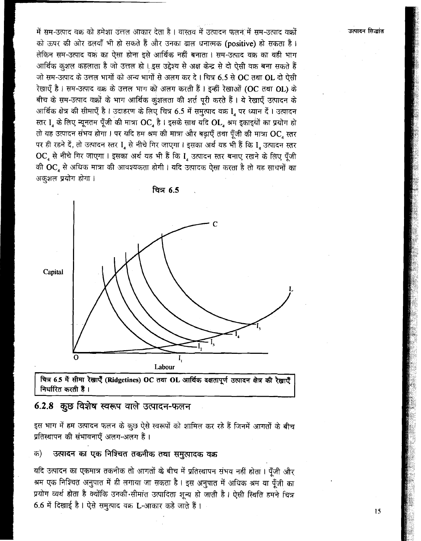में सम-उत्पाद वक्र को हमेशा उत्तल आकार देता है। वास्तव में उत्पादन फलन में सम-उत्पाद वक्रों को ऊपर की ओर ढलवाँ भी हो सकते हैं और उनका ढाल धनात्मक (positive) हो सकता है। लेकिन सम-उत्पाद वक्र का ऐसा होना इसे आर्थिक नहीं बनाता । सम-उत्पाद वक्र का वही भाग आर्थिक कुशल कहलाता है जो उत्तल हो। इस उद्देश्य से अक्ष केन्द्र से दो ऐसी वक्र बना सकते हैं जो सम-उत्पाद के उत्तल भागों को अन्य भागों से अलग कर दे। चित्र 6.5 से OC तथा OL दो ऐसी रेखाएँ है। सम-उत्पाद वक्र के उत्तल भाग को अलग करती हैं। इन्हीं रेखाओं (OC तथा OL) के बीच के सम-उत्पाद वक्रों के भाग आर्थिक कुंशलता की शर्त पूरी करते हैं। ये रेखाएँ उत्पादन के आर्थिक क्षेत्र की सीमाएँ है । उदाहरण के लिए चित्र 6.5 में समुत्पाद वक्र I, पर ध्यान दें । उत्पादन स्तर I, के लिए न्यूनतम पूँजी की मात्रा OC, है। इसके साथ यदि OL, श्रम इकाइथों का प्रयोग हो तो यह उत्पादन संभव होगा। पर यदि हम श्रम की मात्रा और बढ़ाएँ तथा पूँजी की मात्रा OC, स्तर पर ही रहने दें, तो उत्पादन स्तर I, से नीचे गिर जाएगा। इसका अर्थ यह भी हैं कि I, उत्पादन स्तर OC, से नीचे गिर जाएगा। इसका अर्थ यह भी हैं कि I, उत्पादन स्तर बनाए रखने के लिए पूँजी की OC, से अधिक मात्रा की आवश्यकता होगी। यदि उत्पादक ऐसा करता है तो यह साधनों का अकुशल प्रयोग होगा।



चित्र 6.5 में सीमा रेखाएँ (Ridgetines) OC तथा OL आर्थिक दक्षतापूर्ण उत्पादन क्षेत्र की रेखाएँ निर्धारित करती हैं।

### 6.2.8 कुछ विशेष स्वरूप वाले उत्पादन-फलन

इस भाग में हम उत्पादन फलन के कुछ ऐसे स्वरूपों को शामिल कर रहे हैं जिनमें आगतों के बीच प्रतिस्थापन की संभावनाएँ अलग-अलग हैं।

#### उत्पादन का एक निश्चित तकनीक तथा समुत्पादक वक्र क)

यदि उत्पादन का एकमात्र तकनीक तो आगतों के बीच में प्रतिस्थापन संभव नहीं होता । पूँजी और श्रम एक निश्चित अनुपात में ही लगाया जा सकता है। इस अनुपात में अधिक श्रम या पूँजी का प्रयोग व्यर्थ होता है क्योंकि उनकी सीमांत उत्पादिता शून्य हो जाती है। ऐसी स्थिति हमने चित्र 6.6 में दिखाई है। ऐसे समुत्पाद वक्र L-आकार कहे जाते हैं।

15

उत्पादन सिद्धांत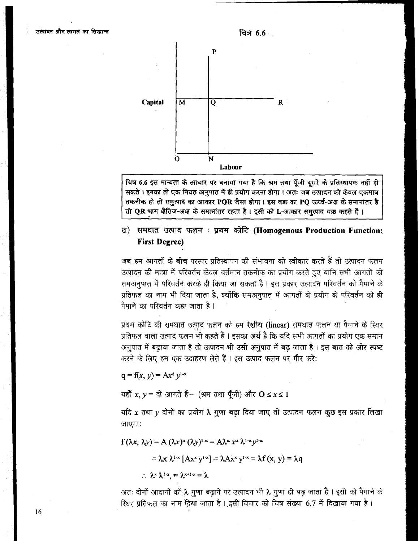

चित्र 6.6 इस मान्यता के आधार पर बनाया गया है कि श्रम तथा पूँजी दूसरे के प्रतिस्थापक नहीं हो सकते । इनका तो एक नियत अनुपात में ही प्रयोग करना होगा । अतः जब उत्पादन को केवल एकमात्र तकनीक हो तो समुत्पाद का आकार PQR जैसा होगा। इस वक्र का PQ ऊर्ध्व-अक्ष के समानांतर है तो QR भाग क्षैतिज-अक्ष के समानांतर रहता है। इसी को L आकार समुत्पाद वक्र कहते हैं।

## ख) समघात उत्पाद फलन: प्रथम कोटि (Homogenous Production Function: **First Degree)**

जब हम आगतों के बीच परस्पर प्रतिस्थापन की संभावना को स्वीकार करते हैं तो उत्पादन फलन उत्पादन की मात्रा में परिवर्तन केवल वर्तमान तकनीक का प्रयोग करते हुए यानि सभी आगतों को समअनुपात में परिवर्तन करके ही किया जा सकता है। इस प्रकार उत्पादन परिवर्तन को पैमाने के प्रतिफल का नाम भी दिया जाता है, क्योंकि समअनुपात में आगतों के प्रयोग के परिवर्तन को ही पैमाने का परिवर्तन कहा जाता है ।

प्रथम कोटि की समघात उत्पाद फलन को हम रेखीय (linear) समघात फलन या पैमाने के स्थिर प्रतिफल वाला उत्पाद फलन भी कहते हैं । इसका अर्थ है कि यदि सभी आगतों का प्रयोग एक समान अनुपात में बढ़ाया जाता है तो उत्पादन भी उसी अनुपात में बढ़ जाता है। इस बात को ओर स्पष्ट करने के लिए हम एक उदाहरण लेते हैं। इस उत्पाद फलन पर गौर करें:

 $q = f(x, y) = Ax^d y^{1-a}$ 

यहाँ  $x, y =$ दो आगते हैं- (श्रम तथा पूँजी) और  $0 \le x \le 1$ 

यदि  $x$  तथा  $y$  दोनों का प्रयोग  $\lambda$  गुणा बढ़ा दिया जाए तो उत्पादन फलन कुछ इस प्रकार लिखा जाएगाः

$$
f(\lambda x, \lambda y) = A(\lambda x)^{\alpha} (\lambda y)^{1-\alpha} = A\lambda^{\alpha} x^{\alpha} \lambda^{1-\alpha} y^{1-\alpha}
$$

$$
= \lambda x \lambda^{1-x} [A x^x y^{1-x}] = \lambda A x^x y^{1-x} = \lambda f(x, y) = \lambda q
$$

$$
\therefore \lambda^x \lambda^{1-x} = \lambda^{x+1-x} = \lambda
$$

अतः दोनों आदानों को λ गुणा बढ़ाने पर उत्पादन भी λ गुणा ही बढ़ जाता है। इसी को पैमाने के स्थिर प्रतिफल का नाम दिया जाता है। इसी विचार को चित्र संख्या 6.7 में दिखाया गया है।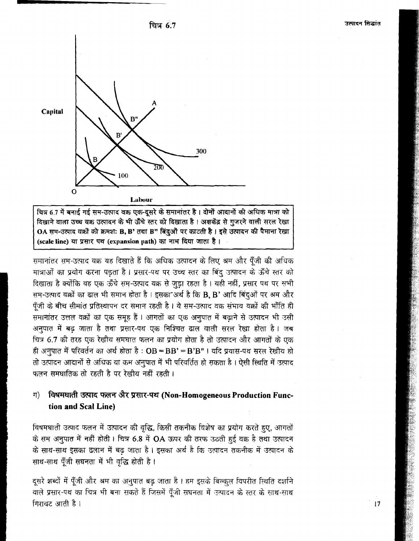



चित्र 6.7 में बनाई गई सम-उत्पाद वक्र एक-दूसरे के समानांतर है। दोनों आदानों की अधिक मात्रा को दिखाने वाला उच्च वक्र उत्पादन के भी ऊँचे स्तर को दिखाता है । अक्षकेंद्र से गुजरने वाली सरल रेखा OA सम-उत्पाद वक्रों को क्रमश: B, B' तथा B" बिंदुओं पर काटती है। इसे उत्पादन की पैमाना रेखा (scale line) या प्रसार पथ (expansion path) का नाम दिया जाता है।

समानांतर सम-उत्पाद वक्र यह दिखाते हैं कि अधिक उत्पादन के लिए श्रम और पूँजी की अधिक मात्राओं का प्रयोग करना पड़ता है। प्रसार-पथ पर उच्च स्तर का बिंदू उत्पादन के ऊँचे स्तर को दिखाता है क्योंकि वह एक ऊँचे सम-उत्पाद वक्र से जुड़ा रहता है। यही नहीं, प्रसार पथ पर सभी सम-उत्पाद वक्रों का ढाल भी समान होता है । इसका अर्थ है कि B, B' आदि बिंदुओं पर श्रम और पूँजी के बीच सीमांत प्रतिस्थापन दर समान रहती है। ये सम-उत्पाद वक्र संभाव वक्रों की भाँति ही समानांतर उत्तल वक्रों का एक समूह हैं। आगतों का एक अनुपात में बढ़ाने से उत्पादन भी उसी अनुपात में बढ़ जाता है तथा प्रसार-पथ एक निश्चित ढाल वाली सरल रेखा होता है। जब चित्र 6.7 की तरह एक रेखीय समघात फलन का प्रयोग होता है तो उत्पादन और आगतों के एक ही अनुपात में परिवर्तन का अर्थ होता है: OB = BB' = B'B" । यदि प्रयास-पथ सरल रेखीय हो तो उत्पादन आदानों से अधिक या कम अनुपात में भी परिवर्तित हो सकता है। ऐसी स्थिति में उत्पाद फलन समघातिक तो रहती है पर रेखीय नहीं रहती।

#### $\Pi$ विषमघाती उत्पाद फलन अैर प्रसार-पथ (Non-Homogeneous Production Function and Scal Line)

विषमघाती उत्पाद फलन में उत्पादन की वृद्धि, किसी तकनीक विशेष का प्रयोग करते हुए, आगतों के सम अनुपात में नहीं होती। चित्र 6.8 में OA ऊपर की तरफ उठती हुई वक्र है तथा उत्पादन के साथ-साथ इसका ढलान में बढ़ जाता है। इसका अर्थ है कि उत्पादन तकनीक में उत्पादन के साथ-साथ पुँजी सघनता में भी वृद्धि होती है।

दूसरे शब्दों में पूँजी और श्रम का अनुपात बढ़ जाता है। हम इसके बिल्कुल विपरीत स्थिति दर्शाने वाले प्रसार-पथ का चित्र भी बना सकते हैं जिसमें पूँजी सघनता में उत्पादन के स्तर के साथ-साथ गिरावट आती है।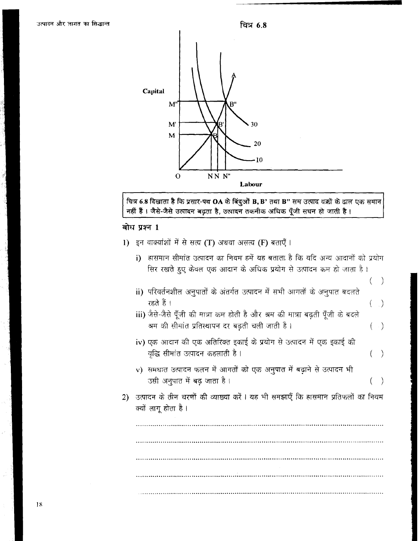

चित्र 6.8 दिखाता है कि प्रसार-पथ OA के बिंदुओं B, B' तथा B'' सम उत्पाद वक्रों के ढाल एक समान<br>नहीं हैं । जैसे-जैसे उत्पादन बढ़ता है, उत्पादन तकनीक अधिक पूँजी सघन हो जाती है ।

## बोध प्रश्न 1

|  |  | .) इन वाक्यांशों में से सत्य (T) अथवा असत्य (F) बताएँ । |  |  |  |  |  |  |  |  |  |
|--|--|---------------------------------------------------------|--|--|--|--|--|--|--|--|--|
|--|--|---------------------------------------------------------|--|--|--|--|--|--|--|--|--|

|    | i) | हासमान सीमांत उत्पादन का नियम हमें यह बताता है कि यदि अन्य आदानों को प्रयोग                             |           |
|----|----|---------------------------------------------------------------------------------------------------------|-----------|
|    |    | सिर रखते हुए केवल एक आदान के अधिक प्रयोग से उत्पादन कम हो जाता है ।                                     |           |
|    |    |                                                                                                         |           |
|    |    | ii) परिवर्तनशील अनुपातों के अंतर्गत उत्पादन में सभी आगतों के अनुपात बदलते<br>रहते हैं ।                 | $\bigcup$ |
|    |    | iii) जैसे-जैसे पूँजी की मात्रा कम होती है और श्रम की मात्रा बढ़ती पूँजी के बदले                         |           |
|    |    | श्रम की सीमांत प्रतिस्थापन दर बढ़ती चली जाती है।                                                        | $(\quad)$ |
|    |    | iv) एक आदान की एक अतिरिक्त इकाई के प्रयोग से उत्पादन में एक इकाई की                                     |           |
|    |    | वृद्धि सीमांत उत्पादन कहलाती है ।                                                                       |           |
|    |    | v) समधात उत्पादन फलन में आगतों को एक अनुपात में बढ़ाने से उत्पादन भी                                    |           |
|    |    | उसी अनुपात में बढ़ जाता है ।                                                                            |           |
| 2) |    | उत्पादन के तीन चरणों की व्याख्या करें । यह भी समझाएँ कि हासमान प्रतिफलों का नियम<br>क्यों लागू होता है। |           |
|    |    |                                                                                                         |           |
|    |    |                                                                                                         |           |
|    |    |                                                                                                         |           |
|    |    |                                                                                                         |           |
|    |    |                                                                                                         |           |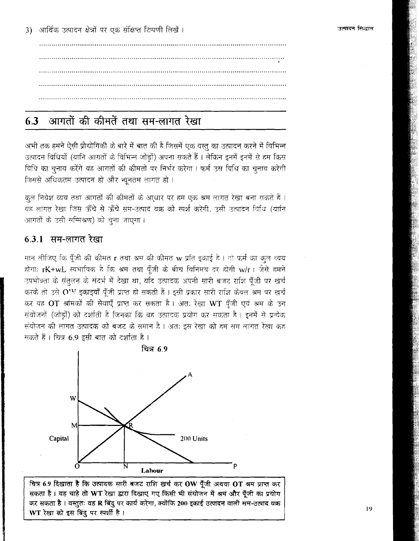#### आगतों की कीमतें तथा सम-लागत रेखा 63

अभी तक हमने ऐसी प्रौद्योगिकी के बारे में बात की है जिसमें एक वस्तु का उत्पादन करने में विभिन्न उत्पादन विधियों (यानि आगतों के विभिन्न जोडों) अपना सकते हैं । लेकिन इनमें इनमें से हम किस विधि का चनाव करेंगे यह आगतों की कीमतों पर निर्भर करेगा । फर्म उस विधि का चनाव करेगी जिससे अधिकतम उत्पादन हो और न्यूनतम लागत हो।

कुल निवेश व्यय तथा आगतों की कीमतों के आधार पर हम एक श्रम लागत रेखा बना सकते हैं । यह लागत रेखा जिस ऊँचे से ऊँचे सम-उत्पाद वक्र को स्पर्श करेगी, उसी उत्पादन विधि (यानि आगतों के उसी सम्मिश्रण) को चना जाएगा।

### 6.3.1 सम-लागत रेखा

मान लीजिए कि पूँजी की कीमत r तथा श्रम की कीमत w प्रति इकाई है । तो फर्म का कुल व्यय होगा: rK+wL स्वभाविक है कि श्रम तथा पूँजी के बीच विनिमय दर होगी w/r । जैसे हमने उपभोक्ता के सतुलन के संदर्भ में देखा था, यदि उत्पादक अपनी सारी बजट राशि पूँजी पर खर्च करके तो उसे OW इकाइयाँ पूँजी प्राप्त हो सकती हैं। इसी प्रकार सारी राशि केवल श्रम पर खर्च कर वह OT श्रमिकों की सेवाएँ प्राप्त कर सकता है। अतः रेखा WT पूँजी एवं श्रम के उन संयोजनों (जोड़ों) को दर्शाती है जिनका कि वह उत्पादक प्रयोग कर सकता है। इनमें से प्रत्येक संयोजन की लागत उत्पादक को बजट के समान है। अतः इस रेखा को हम सम लागत रेखा कह मकते हैं। चित्र 6.9 इसी बात को दर्शाता है।



चित्र 6.9 दिखाता है कि उत्पादक सारी बजट राशि खर्च कर OW पूँजी अथवा OT श्रम प्राप्त कर सकता है। वह चाहे तो WT रेखा द्वारा दिखाए गए किसी भी संयोजन में श्रम और पूँजी का प्रयोग कर सकता है। वस्तुतः वह R बिंदु पर कार्य करेगा, क्योंकि 200 इकाई उत्पादन वाली सम-उत्पाद वक्र WT रेखा को इस बिंदु पर स्पर्शी है।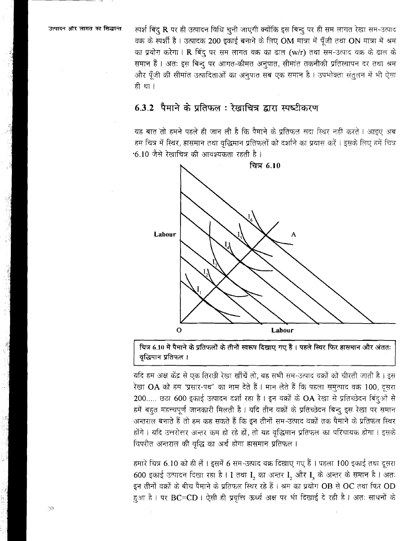स्पर्श बिंदु R पर ही उत्पादन विधि चुनी जाएगी क्योंकि इस बिन्दु पर ही सम लागत रेखा सम-उत्पाद वक्र के स्पर्शी है। उत्पादक 200 इकाई बनाने के लिए OM मात्रा में पूँजी तथा ON मात्रा में श्रम का प्रयोग करेगा। R बिंदु पर सम लागत वक्र का ढाल (w/r) तथा सम-उत्पाद वक्र के ढाल के समान हैं। अतः इस बिन्दु पर आगत-कीमत अनुपात, सीमांत तकनीकी प्रतिस्थापन दर तथा श्रम और पूँजी की सीमांत उत्पादिताओं का अनुपात सब एक समान है। उपभोक्ता संतुलन में भी ऐसा ही था ।

## 6.3.2 पैमाने के प्रतिफल: रेखाचित्र द्वारा स्पष्टीकरण

यह बात तो हमने पहले ही जान ली है कि पैमाने के प्रतिफल सदा स्थिर नहीं करते । आइए अब हम चित्र में स्थिर, हासमान तथा वृद्धिमान प्रतिफलों को दर्शाने का प्रयास करें । इसके लिए हमें चित्र •6.10 जैसे रेखाचित्र की आवश्यकता रहती है ।



चित्र 6.10 में पैमाने के प्रतिफलों के तीनों स्वरूप दिखाए गए हैं। पहले स्थिर फिर हासमान और अंततः वृद्धिमान प्रतिफल ।

यदि हम अक्ष केंद्र से एक तिरछी रेखा खींचें तो, वह सभी सम-उत्पाद वक्रों को चीरती जाती है। इस रेखा OA को हम 'प्रसार-पथ' का नाम देते हैं। मान लेते हैं कि पहला समुत्पाद वक्र 100, दूसरा 200..... छठा 600 इकाई उत्पादन दर्शा रहा है। इन वक्रों के OA रेखा से प्रतिच्छेदन बिंदुओं से हमें बहुत महत्त्वपूर्ण जानकारी मिलती है। यदि तीन वक्रों के प्रतिच्छेदन बिन्दु इस रेखा पर समान अन्तराल बनाते हैं तो हम कह सकते हैं कि इन तीनों सम-उत्पाद वक्रों तक पैमाने के प्रतिफल स्थिर होंगे। यदि उत्तरोत्तर अन्तर कम हो रहे हों, तो यह वृद्धिमान प्रतिफल का परिचायक होगा। इसके विपरीत अन्तराल की वृद्धि का अर्थ होगा हासमान प्रतिफल।

हमारे चित्र 6.10 को ही लें। इसमें 6 सम-उत्पाद वक्र दिखाए गए हैं। पहला 100 इकाई तथा दूसरा 600 इकाई उत्पादन दिखा रहा है। I तथा I, का अन्तर I, और I, के अन्तर के समान है। अतः इन तीनों वक्रों के बीच पैमाने के प्रतिफल स्थिर रहे हैं। श्रम का प्रयोग OB से OC तथा फिर OD हुआ है। पर BC=CD। ऐसी ही प्रवृत्ति ऊर्ध्व अक्ष पर भी दिखाई दे रही है। अतः साधनों के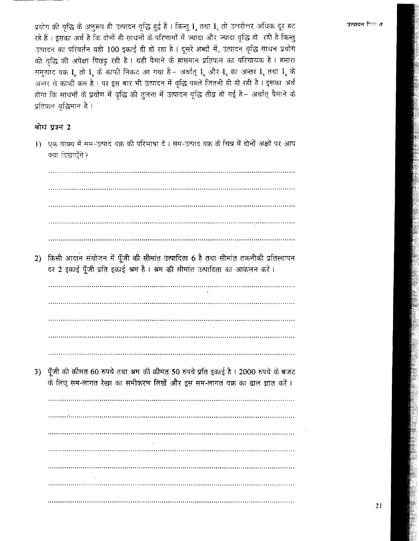प्रयोग की वृद्धि के अनुरूप ही उत्पादन वृद्धि हुई हैं। किन्तु I, तथा I, तो उत्तरोत्तर अधिक दूर हट रहे हैं। इसका अर्थ है कि दोनों ही साधनों के परिणामों में ज्यादा और ज्यादा वृद्धि हो। रही है किन्तु उत्पादन का परिवर्तन वही 100 इकाई ही हो रहा है। दूसरे शब्दों में, उत्पादन वृद्धि साधन प्रयोग की वद्धि की अपेक्षा पिछड़ रही है। यही पैमाने के हासमान प्रतिफल का परिचायक है। हमारा समूत्पाद वक्र I तो I के काफी निकट आ गया है- अर्थात् I और I का अन्तर I तथा I के अन्तर से काफी कम है । पर इस बार भी उत्पादन में वृद्धि पहले जितनी ही हो रही है । इसका अर्थ होगा कि साधनों के प्रयोग में वृद्धि की तुलना में उत्पादन वृद्धि तीव्र हो गई है– अर्थात् पैमाने के प्रतिफल वृद्धिमान है।

### बोध प्रश्न 2

1) एक वाक्य में सम-उत्पाद वक्र की परिभाषा दें । सम-उत्पाद वक्र के चित्र में दोनों अक्षों पर आप क्या दिखाएँगे ? and the contract of the contract of the contract of the contract of the contract of the contract of the contract of and the control of the control of the control of the control of the control of the control of the control of th 2) किसी आदान संयोजन में पूँजी की सीमांत उत्पादिता 6 है तथा सीमांत तकनीकी प्रतिस्थापन दर 2 इकाई पूँजी प्रति इकाई श्रम है। श्रम की सीमांत उत्पादिता का आकलन करें। 3) पूँजी की कीमत 60 रुपये तथा श्रम की कीमत 50 रुपये प्रति इकाई है। 2000 रुपये के बजट के लिए सम-लागत रेखा का समीकरण लिखें और इस सम-लागत वक्र का ढाल ज्ञात करें। 

उत्पादन <sub>सिल</sub>्त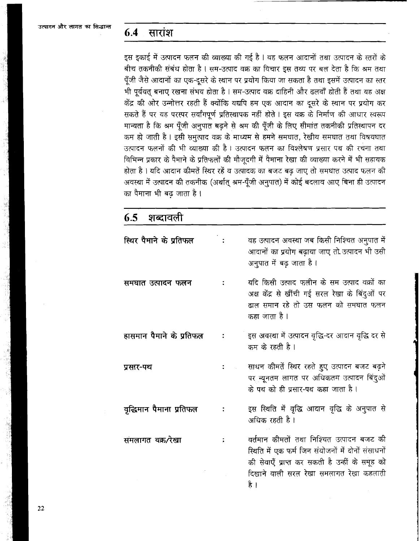#### 6.4 सारांश

इस इकाई में उत्पादन फलन की व्याख्या की गई है । वह फलन आदानों तथा उत्पादन के स्तरों के बीच तकनीकी संबंध होता है । सम-उत्पाद वक्र का विचार इस तथ्य पर बल देता है कि श्रम तथा पूँजी जैसे आदानों का एक-दूसरे के स्थान पर प्रयोग किया जा सकता है तथा इसमें उत्पादन का स्तर भी पूर्ववत बनाए रखना संभव होता है। सम-उत्पाद वक्र दाहिनी और ढलवाँ होती हैं तथा यह अक्ष केंद्र की ओर उन्नोत्तर रहती हैं क्योंकि यद्यपि हम एक आदान का दूसरे के स्थान पर प्रयोग कर सकते हैं पर यह परस्पर सर्वांगपूर्ण प्रतिस्थापक नहीं होते । इस वक्र के निर्माण की आधार स्वरूप मान्यता है कि श्रम पूँजी अनुपात बढ़ने से श्रम की पूँजी के लिए सीमांत तकनीकी प्रतिस्थापन दर कम हो जाती है। इसी समुत्पाद वक्र के माध्यम से हमने समघात, रेखीय समघात तथा विषयघात उत्पादन फलनों की भी व्याख्या की है। उत्पादन फलन का विश्लेषण प्रसार पथ की रचना तथा विभिन्न प्रकार के पैमाने के प्रतिफलों की मौजदगी में पैमाना रेखा की व्याख्या करने में भी सहायक होता है । यदि आदान कीमतें स्थिर रहें व उत्पादक का बजट बढ़ जाए तो समघात उत्पाद फलन की अवस्था में उत्पादन की तकनीक (अर्थात् श्रम-पूँजी अनुपात) में कोई बदलाव आए बिना ही उत्पादन का पैमाना भी बढ़ जाता है।

| 6.5 शब्दावली             |                                                                                                                                                                                                     |
|--------------------------|-----------------------------------------------------------------------------------------------------------------------------------------------------------------------------------------------------|
| स्थिर पैमाने के प्रतिफल  | वह उत्पादन अवस्था जब किसी निश्चित अनुपात में<br>आदानों का प्रयोग बढ़ाया जाए तो उत्पादन भी उसी<br>अनुपात में बढ़ जाता है।                                                                            |
| समघात उत्पादन फलन        | यदि किसी उत्पाद फलीन के सम उत्पाद वक्रों का<br>अक्ष केंद्र से खींची गई सरल रेखा के बिंदुओं पर<br>ढाल समान रहे तो उस फलन को समघात फलन<br>कहा जाता है ।                                               |
| हासमान पैमाने के प्रतिफल | इस अवस्था में उत्पादन वृद्धि-दर आदान वृद्धि दर से<br>कम के रहती है ।                                                                                                                                |
| प्रसार-पथ                | साधन कीमतें स्थिर रहते हुए उत्पादन बजट बढ़ने<br>पर न्यूनतम लागत पर अधिकतम उत्पादन बिंदुओं<br>के पथ को ही प्रसार-पथ कहा जाता है ।                                                                    |
| वृद्धिमान पैमाना प्रतिफल | इस स्थिति में वृद्धि आदान वृद्धि के अनुपात से<br>अधिक रहती है।                                                                                                                                      |
| समलागत वक्र ∕रेखा        | वर्तमान कीमतों तथा निश्चित उत्पादन बजट की<br>स्थिति में एक फर्म जिन संयोजनों में दोनों संसाधनों<br>की सेवाएँ प्राप्त कर सकती है उन्हीं के समूह को<br>दिखाने वाली सरल रेखा समलागत रेखा कहलाती<br>≥ੇ। |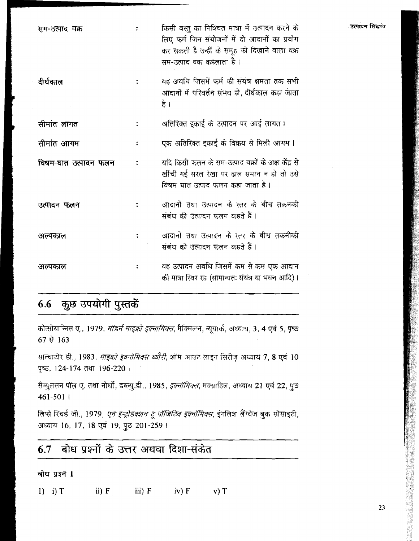| सम-उत्पाद वक्र       | किसी वस्तु का निश्चित मात्रा में उत्पादन करने के<br>लिए फर्म जिन संयोजनों में दो आदानों का प्रयोग<br>कर सकती है उन्हीं के समूह को दिखाने वाला वक्र<br>सम-उत्पाद वक्र कहलाता है । |
|----------------------|----------------------------------------------------------------------------------------------------------------------------------------------------------------------------------|
| दीर्घकाल             | वह अवधि जिसमें फर्म की संयंत्र क्षमता तक सभी<br>आदानों में परिवर्तन संभव हो, दीर्घकाल कहा जाता<br>है ।                                                                           |
| सीमांत लागत          | अतिरिक्त इकाई के उत्पादन पर आई लागत ।                                                                                                                                            |
| सीमांत आगम           | एक अतिरिक्त इकाई के विक्रय से मिली आगम ।                                                                                                                                         |
| विषम-घात उत्पादन फलन | यदि किसी फलन के सम-उत्पाद वक्रों के अक्ष केंद्र से<br>खींची गई सरल रेखा पर ढाल समान न हो तो उसे<br>विषम घात उत्पाद फलन कहा जाता है ।                                             |
| उत्पादन फलन          | आदानों तथा उत्पादन के स्तर के बीच तकनकी<br>संबंध की उत्पादन फलन कहते हैं ।                                                                                                       |
| अल्पकाल              | आदानों तथा उत्पादन के स्तर के बीच तकनीकी<br>संबंध को उत्पादन फलन कहते हैं।                                                                                                       |
| अल्पकाल              | वह उत्पादन अवधि जिसमें कम से कम एक आदान<br>की मात्रा स्थिर रह (सामान्यतः संयंत्र या भवन आदि)।                                                                                    |

# 6.6 कुछ उपयोगी पुस्तकें

कोत्सोयान्निस ए., 1979, *मॉडर्न माइक्रो इक्नामिक्स*, मैक्मिलन, न्यूयार्क, अध्याय, 3, 4 एवं 5, पृष्ठ 67 से 163

साल्वाटोर डी., 1983, *माइक्रो इक्नोमिक्स थ्यौरी*, शॉम आउट लाइन सिरीज़ अध्याय 7, 8 एवं 10 पृष्ठ, 124-174 तथा 196-220।

सैम्युलसन पॉल ए. तथा नोर्धो, डब्ल्यु.डी., 1985, *इक्नॉमिक्स*, मक्ग्राहिल, अध्याय 21 एवं 22, पुठ 461-5011

लिप्से रिचर्ड जी., 1979*, एन इन्ट्रोडक्शन टू पॉजिटिव इक्नॉमिक्स,* इंगलिश लैंग्वेज बुक सोसाइटी, अध्याय 16, 17, 18 एवं 19, पुठ 201-259।

#### बोध प्रश्नों के उत्तर अथवा दिशा-संकेत 6.7

बोध प्रश्न 1

1) i)  $T$  $\mathbf{ii) } \mathbf{F}$  $iii) F$  $iv) F$  $v)$  T